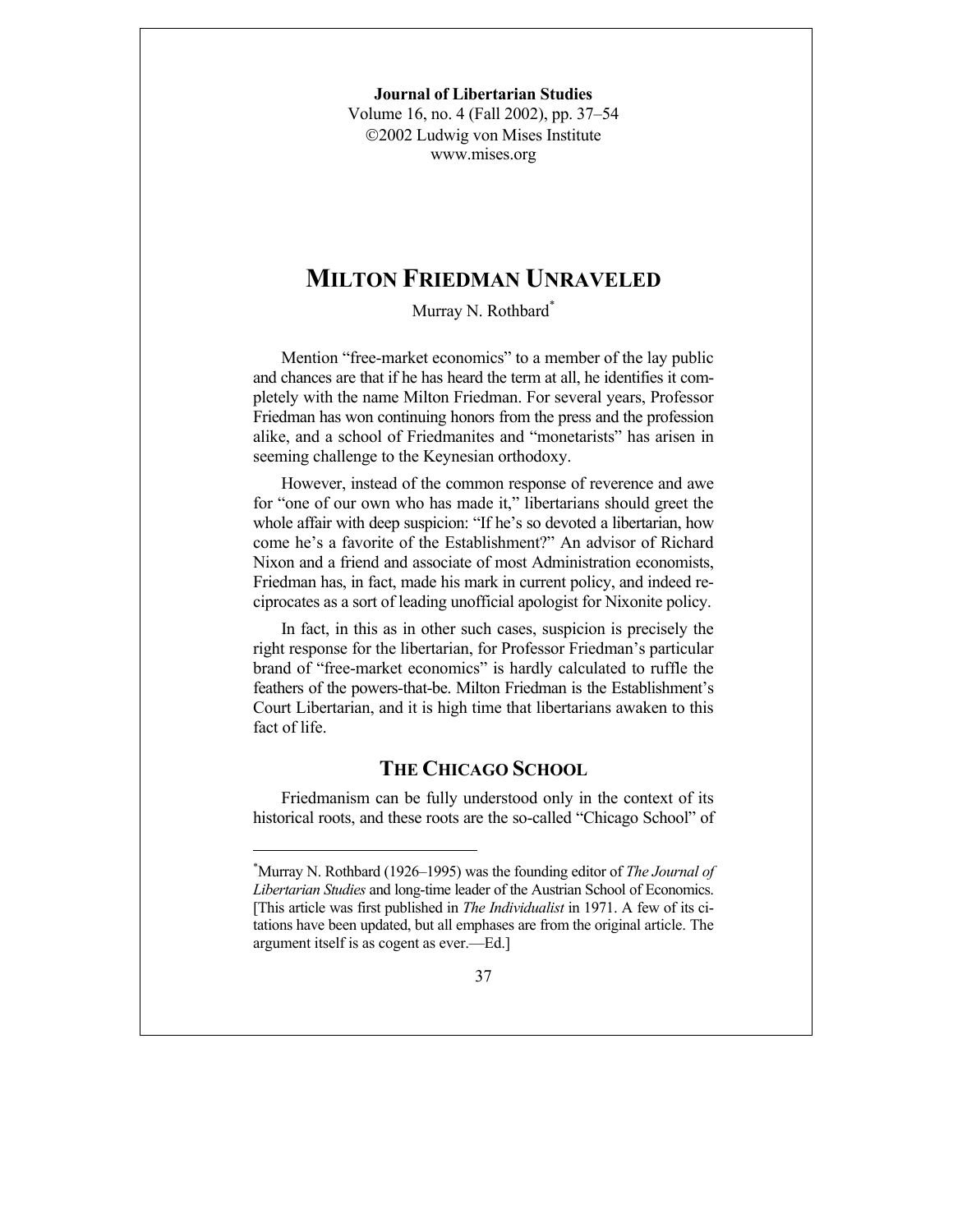**Journal of Libertarian Studies**  Volume 16, no. 4 (Fall 2002), pp. 37–54 2002 Ludwig von Mises Institute www.mises.org

# **MILTON FRIEDMAN UNRAVELED**

Murray N. Rothbard<sup>\*</sup>

 Mention "free-market economics" to a member of the lay public and chances are that if he has heard the term at all, he identifies it completely with the name Milton Friedman. For several years, Professor Friedman has won continuing honors from the press and the profession alike, and a school of Friedmanites and "monetarists" has arisen in seeming challenge to the Keynesian orthodoxy.

 However, instead of the common response of reverence and awe for "one of our own who has made it," libertarians should greet the whole affair with deep suspicion: "If he's so devoted a libertarian, how come he's a favorite of the Establishment?" An advisor of Richard Nixon and a friend and associate of most Administration economists, Friedman has, in fact, made his mark in current policy, and indeed reciprocates as a sort of leading unofficial apologist for Nixonite policy.

 In fact, in this as in other such cases, suspicion is precisely the right response for the libertarian, for Professor Friedman's particular brand of "free-market economics" is hardly calculated to ruffle the feathers of the powers-that-be. Milton Friedman is the Establishment's Court Libertarian, and it is high time that libertarians awaken to this fact of life.

# **THE CHICAGO SCHOOL**

 Friedmanism can be fully understood only in the context of its historical roots, and these roots are the so-called "Chicago School" of

 $\overline{a}$ 

<sup>\*</sup> Murray N. Rothbard (1926–1995) was the founding editor of *The Journal of Libertarian Studies* and long-time leader of the Austrian School of Economics. [This article was first published in *The Individualist* in 1971. A few of its citations have been updated, but all emphases are from the original article. The argument itself is as cogent as ever.—Ed.]

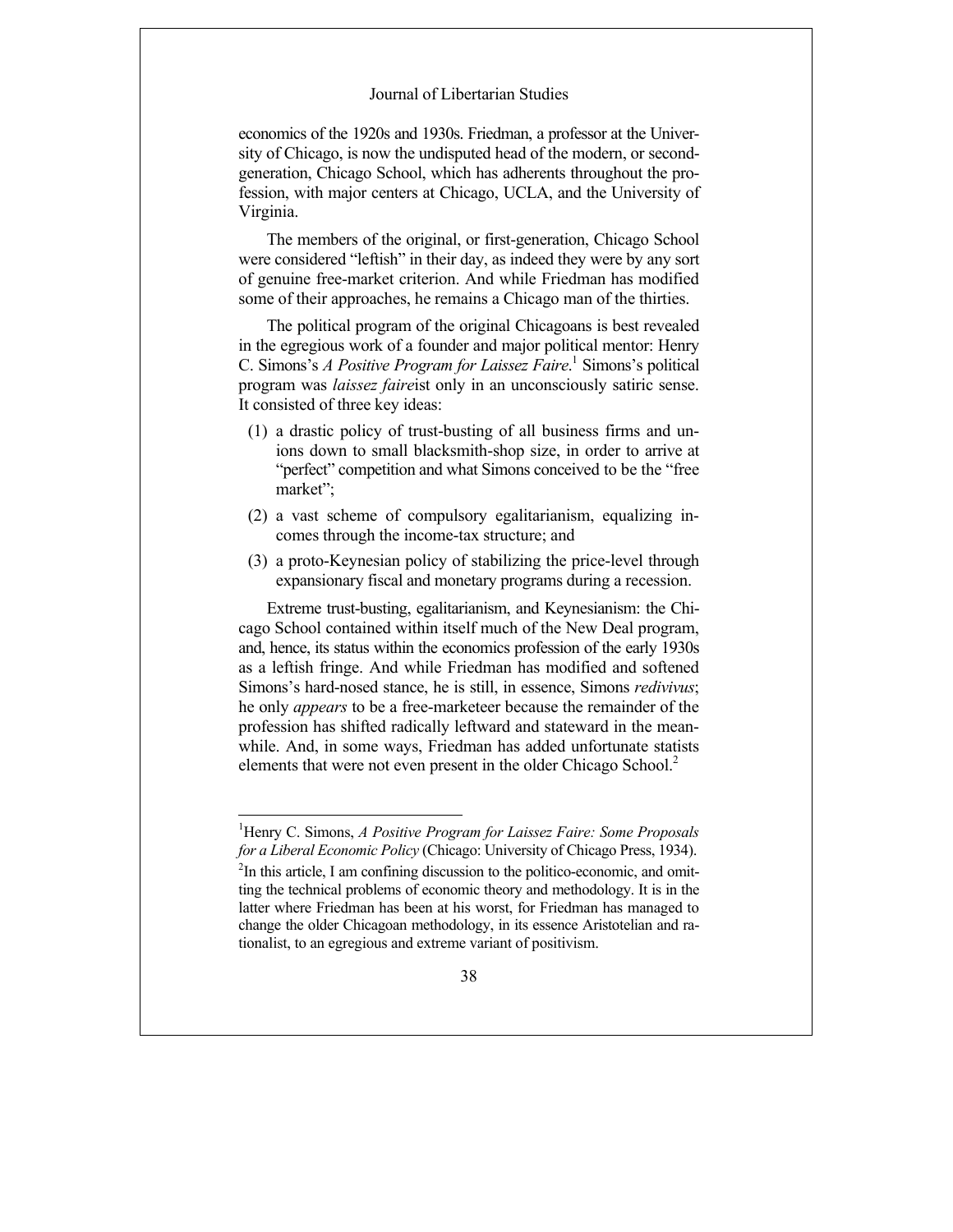economics of the 1920s and 1930s. Friedman, a professor at the University of Chicago, is now the undisputed head of the modern, or secondgeneration, Chicago School, which has adherents throughout the profession, with major centers at Chicago, UCLA, and the University of Virginia.

 The members of the original, or first-generation, Chicago School were considered "leftish" in their day, as indeed they were by any sort of genuine free-market criterion. And while Friedman has modified some of their approaches, he remains a Chicago man of the thirties.

 The political program of the original Chicagoans is best revealed in the egregious work of a founder and major political mentor: Henry C. Simons's *A Positive Program for Laissez Faire*. 1 Simons's political program was *laissez faire*ist only in an unconsciously satiric sense. It consisted of three key ideas:

- (1) a drastic policy of trust-busting of all business firms and unions down to small blacksmith-shop size, in order to arrive at "perfect" competition and what Simons conceived to be the "free market";
- (2) a vast scheme of compulsory egalitarianism, equalizing incomes through the income-tax structure; and
- (3) a proto-Keynesian policy of stabilizing the price-level through expansionary fiscal and monetary programs during a recession.

 Extreme trust-busting, egalitarianism, and Keynesianism: the Chicago School contained within itself much of the New Deal program, and, hence, its status within the economics profession of the early 1930s as a leftish fringe. And while Friedman has modified and softened Simons's hard-nosed stance, he is still, in essence, Simons *redivivus*; he only *appears* to be a free-marketeer because the remainder of the profession has shifted radically leftward and stateward in the meanwhile. And, in some ways, Friedman has added unfortunate statists elements that were not even present in the older Chicago School.<sup>2</sup>

 $2$ In this article, I am confining discussion to the politico-economic, and omitting the technical problems of economic theory and methodology. It is in the latter where Friedman has been at his worst, for Friedman has managed to change the older Chicagoan methodology, in its essence Aristotelian and rationalist, to an egregious and extreme variant of positivism.



<sup>&</sup>lt;sup>1</sup>Henry C. Simons, *A Positive Program for Laissez Faire: Some Proposals for a Liberal Economic Policy* (Chicago: University of Chicago Press, 1934).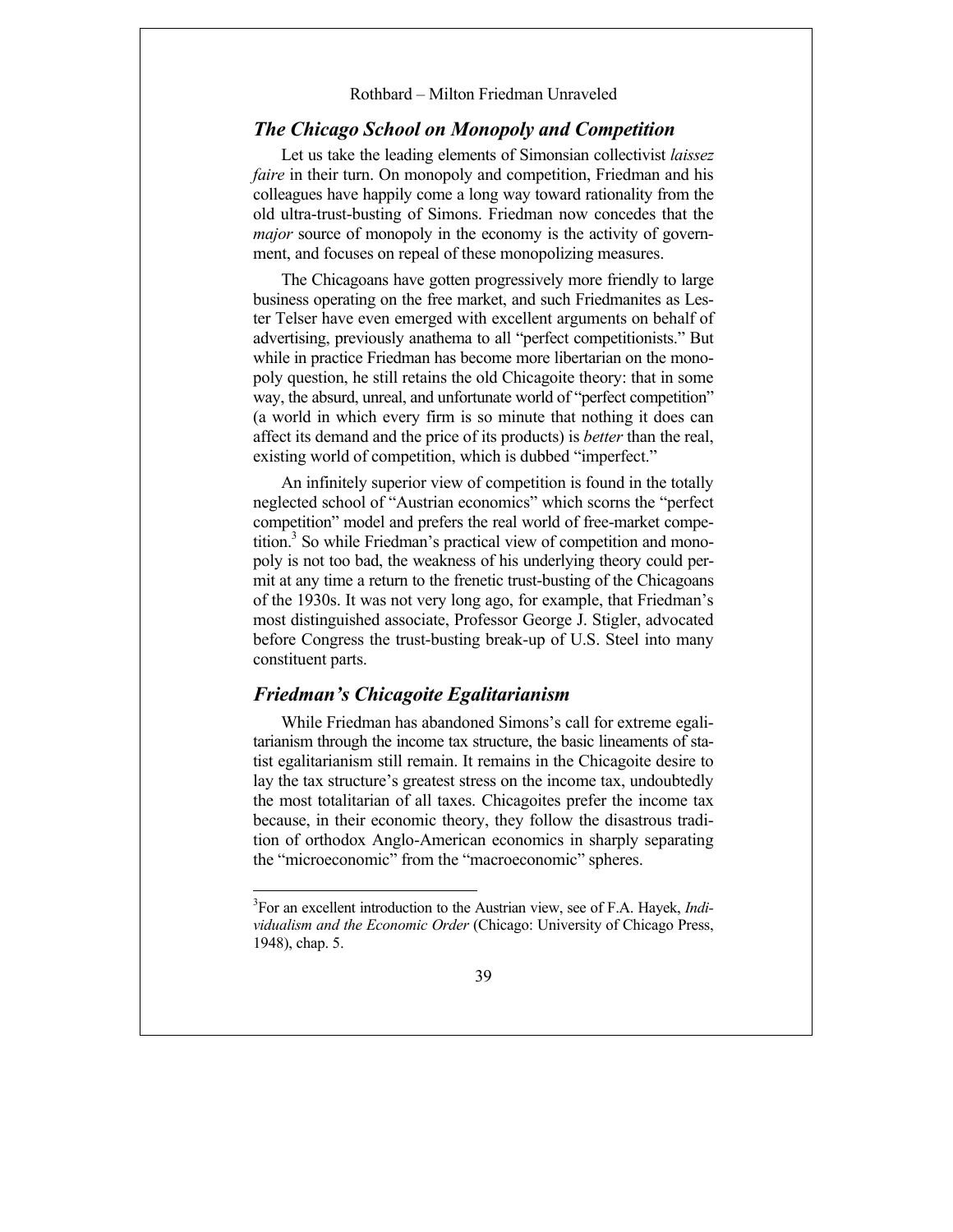# *The Chicago School on Monopoly and Competition*

 Let us take the leading elements of Simonsian collectivist *laissez faire* in their turn. On monopoly and competition, Friedman and his colleagues have happily come a long way toward rationality from the old ultra-trust-busting of Simons. Friedman now concedes that the *major* source of monopoly in the economy is the activity of government, and focuses on repeal of these monopolizing measures.

 The Chicagoans have gotten progressively more friendly to large business operating on the free market, and such Friedmanites as Lester Telser have even emerged with excellent arguments on behalf of advertising, previously anathema to all "perfect competitionists." But while in practice Friedman has become more libertarian on the monopoly question, he still retains the old Chicagoite theory: that in some way, the absurd, unreal, and unfortunate world of "perfect competition" (a world in which every firm is so minute that nothing it does can affect its demand and the price of its products) is *better* than the real, existing world of competition, which is dubbed "imperfect."

 An infinitely superior view of competition is found in the totally neglected school of "Austrian economics" which scorns the "perfect competition" model and prefers the real world of free-market competition.<sup>3</sup> So while Friedman's practical view of competition and monopoly is not too bad, the weakness of his underlying theory could permit at any time a return to the frenetic trust-busting of the Chicagoans of the 1930s. It was not very long ago, for example, that Friedman's most distinguished associate, Professor George J. Stigler, advocated before Congress the trust-busting break-up of U.S. Steel into many constituent parts.

# *Friedman's Chicagoite Egalitarianism*

 $\overline{a}$ 

 While Friedman has abandoned Simons's call for extreme egalitarianism through the income tax structure, the basic lineaments of statist egalitarianism still remain. It remains in the Chicagoite desire to lay the tax structure's greatest stress on the income tax, undoubtedly the most totalitarian of all taxes. Chicagoites prefer the income tax because, in their economic theory, they follow the disastrous tradition of orthodox Anglo-American economics in sharply separating the "microeconomic" from the "macroeconomic" spheres.

<sup>3</sup> For an excellent introduction to the Austrian view, see of F.A. Hayek, *Individualism and the Economic Order* (Chicago: University of Chicago Press, 1948), chap. 5.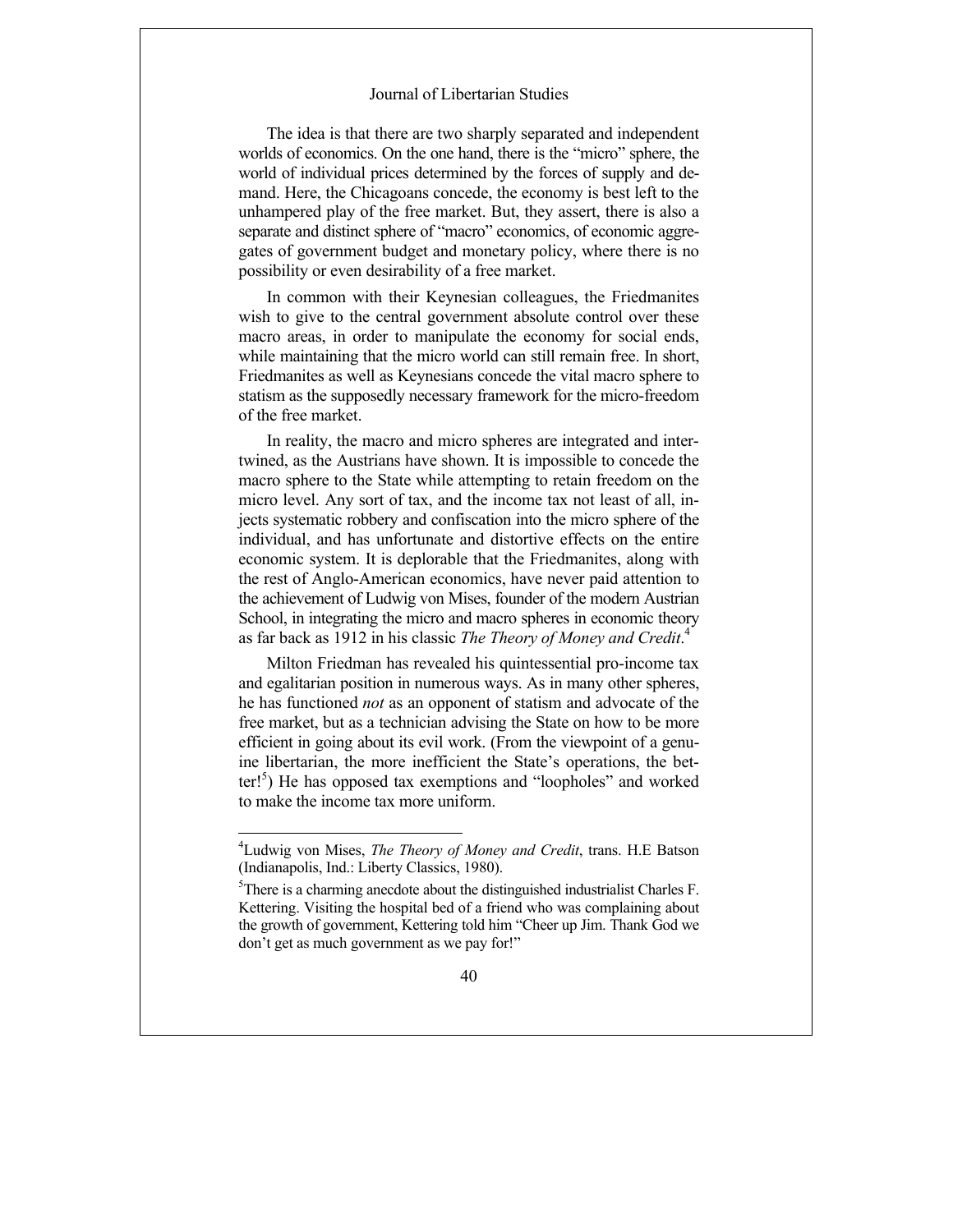The idea is that there are two sharply separated and independent worlds of economics. On the one hand, there is the "micro" sphere, the world of individual prices determined by the forces of supply and demand. Here, the Chicagoans concede, the economy is best left to the unhampered play of the free market. But, they assert, there is also a separate and distinct sphere of "macro" economics, of economic aggregates of government budget and monetary policy, where there is no possibility or even desirability of a free market.

 In common with their Keynesian colleagues, the Friedmanites wish to give to the central government absolute control over these macro areas, in order to manipulate the economy for social ends, while maintaining that the micro world can still remain free. In short, Friedmanites as well as Keynesians concede the vital macro sphere to statism as the supposedly necessary framework for the micro-freedom of the free market.

 In reality, the macro and micro spheres are integrated and intertwined, as the Austrians have shown. It is impossible to concede the macro sphere to the State while attempting to retain freedom on the micro level. Any sort of tax, and the income tax not least of all, injects systematic robbery and confiscation into the micro sphere of the individual, and has unfortunate and distortive effects on the entire economic system. It is deplorable that the Friedmanites, along with the rest of Anglo-American economics, have never paid attention to the achievement of Ludwig von Mises, founder of the modern Austrian School, in integrating the micro and macro spheres in economic theory as far back as 1912 in his classic *The Theory of Money and Credit*. 4

 Milton Friedman has revealed his quintessential pro-income tax and egalitarian position in numerous ways. As in many other spheres, he has functioned *not* as an opponent of statism and advocate of the free market, but as a technician advising the State on how to be more efficient in going about its evil work. (From the viewpoint of a genuine libertarian, the more inefficient the State's operations, the better!5 ) He has opposed tax exemptions and "loopholes" and worked to make the income tax more uniform.

<sup>4</sup> Ludwig von Mises, *The Theory of Money and Credit*, trans. H.E Batson (Indianapolis, Ind.: Liberty Classics, 1980).

<sup>&</sup>lt;sup>5</sup>There is a charming anecdote about the distinguished industrialist Charles F. Kettering. Visiting the hospital bed of a friend who was complaining about the growth of government, Kettering told him "Cheer up Jim. Thank God we don't get as much government as we pay for!"

<sup>40</sup>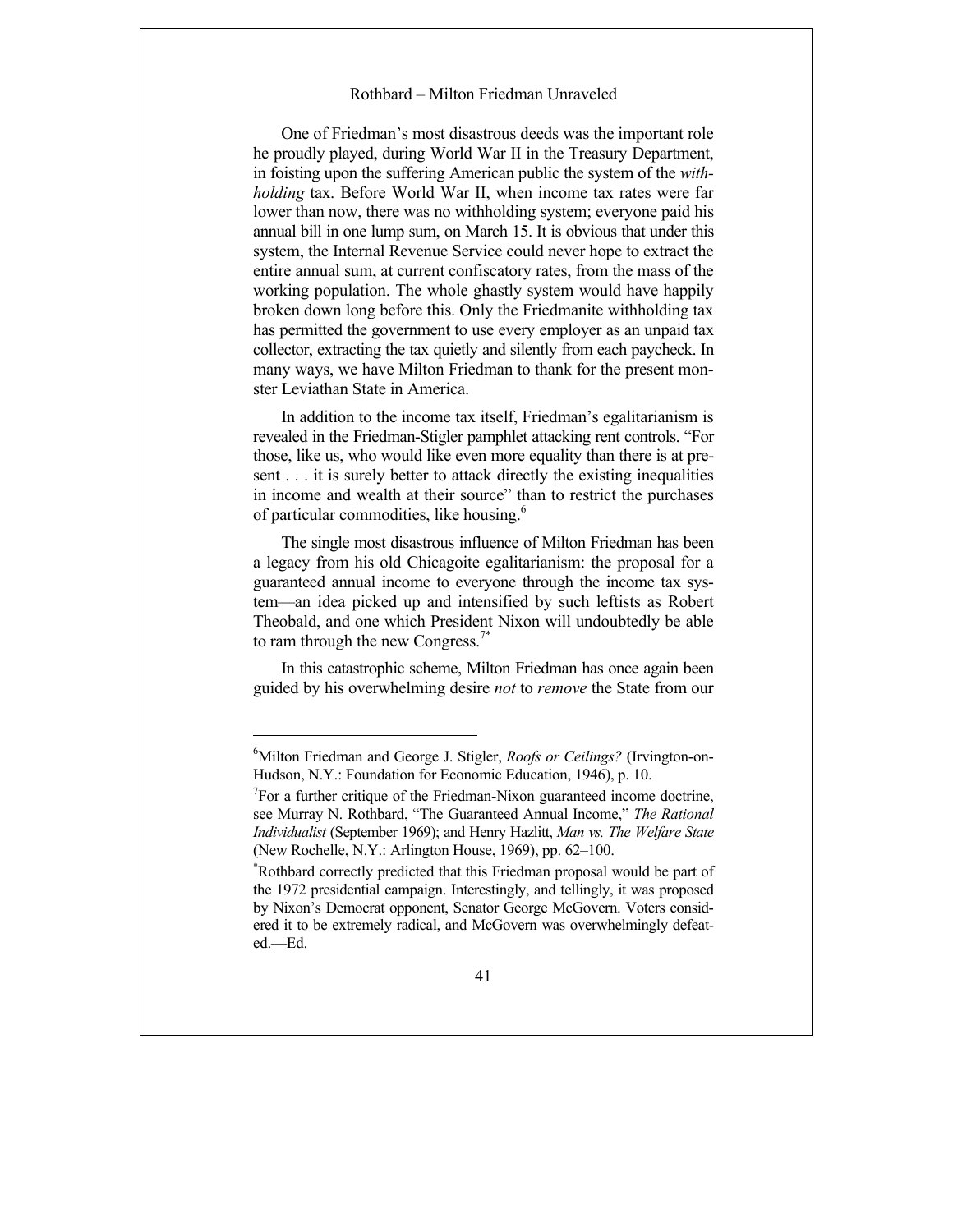One of Friedman's most disastrous deeds was the important role he proudly played, during World War II in the Treasury Department, in foisting upon the suffering American public the system of the *withholding* tax. Before World War II, when income tax rates were far lower than now, there was no withholding system; everyone paid his annual bill in one lump sum, on March 15. It is obvious that under this system, the Internal Revenue Service could never hope to extract the entire annual sum, at current confiscatory rates, from the mass of the working population. The whole ghastly system would have happily broken down long before this. Only the Friedmanite withholding tax has permitted the government to use every employer as an unpaid tax collector, extracting the tax quietly and silently from each paycheck. In many ways, we have Milton Friedman to thank for the present monster Leviathan State in America.

 In addition to the income tax itself, Friedman's egalitarianism is revealed in the Friedman-Stigler pamphlet attacking rent controls. "For those, like us, who would like even more equality than there is at present . . . it is surely better to attack directly the existing inequalities in income and wealth at their source" than to restrict the purchases of particular commodities, like housing.6

 The single most disastrous influence of Milton Friedman has been a legacy from his old Chicagoite egalitarianism: the proposal for a guaranteed annual income to everyone through the income tax system—an idea picked up and intensified by such leftists as Robert Theobald, and one which President Nixon will undoubtedly be able to ram through the new Congress.<sup>7\*</sup>

 In this catastrophic scheme, Milton Friedman has once again been guided by his overwhelming desire *not* to *remove* the State from our

<sup>6</sup> Milton Friedman and George J. Stigler, *Roofs or Ceilings?* (Irvington-on-Hudson, N.Y.: Foundation for Economic Education, 1946), p. 10.

 $7$ For a further critique of the Friedman-Nixon guaranteed income doctrine, see Murray N. Rothbard, "The Guaranteed Annual Income," *The Rational Individualist* (September 1969); and Henry Hazlitt, *Man vs. The Welfare State* (New Rochelle, N.Y.: Arlington House, 1969), pp. 62–100.

<sup>\*</sup> Rothbard correctly predicted that this Friedman proposal would be part of the 1972 presidential campaign. Interestingly, and tellingly, it was proposed by Nixon's Democrat opponent, Senator George McGovern. Voters considered it to be extremely radical, and McGovern was overwhelmingly defeated.—Ed.

<sup>41</sup>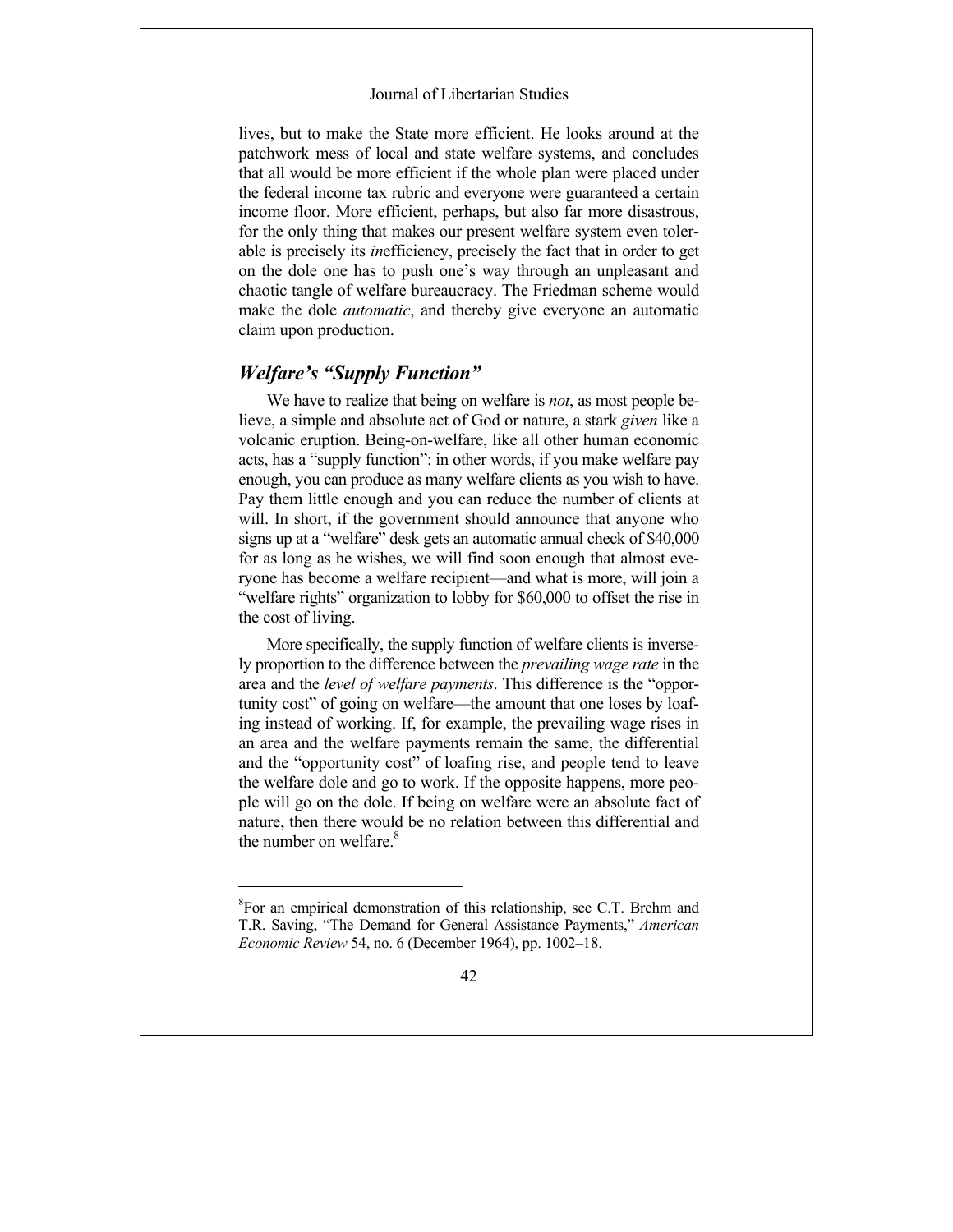lives, but to make the State more efficient. He looks around at the patchwork mess of local and state welfare systems, and concludes that all would be more efficient if the whole plan were placed under the federal income tax rubric and everyone were guaranteed a certain income floor. More efficient, perhaps, but also far more disastrous, for the only thing that makes our present welfare system even tolerable is precisely its *in*efficiency, precisely the fact that in order to get on the dole one has to push one's way through an unpleasant and chaotic tangle of welfare bureaucracy. The Friedman scheme would make the dole *automatic*, and thereby give everyone an automatic claim upon production.

# *Welfare's "Supply Function"*

1

 We have to realize that being on welfare is *not*, as most people believe, a simple and absolute act of God or nature, a stark *given* like a volcanic eruption. Being-on-welfare, like all other human economic acts, has a "supply function": in other words, if you make welfare pay enough, you can produce as many welfare clients as you wish to have. Pay them little enough and you can reduce the number of clients at will. In short, if the government should announce that anyone who signs up at a "welfare" desk gets an automatic annual check of \$40,000 for as long as he wishes, we will find soon enough that almost everyone has become a welfare recipient—and what is more, will join a "welfare rights" organization to lobby for \$60,000 to offset the rise in the cost of living.

 More specifically, the supply function of welfare clients is inversely proportion to the difference between the *prevailing wage rate* in the area and the *level of welfare payments*. This difference is the "opportunity cost" of going on welfare—the amount that one loses by loafing instead of working. If, for example, the prevailing wage rises in an area and the welfare payments remain the same, the differential and the "opportunity cost" of loafing rise, and people tend to leave the welfare dole and go to work. If the opposite happens, more people will go on the dole. If being on welfare were an absolute fact of nature, then there would be no relation between this differential and the number on welfare.<sup>8</sup>

<sup>&</sup>lt;sup>8</sup>For an empirical demonstration of this relationship, see C.T. Brehm and T.R. Saving, "The Demand for General Assistance Payments," *American Economic Review* 54, no. 6 (December 1964), pp. 1002–18.

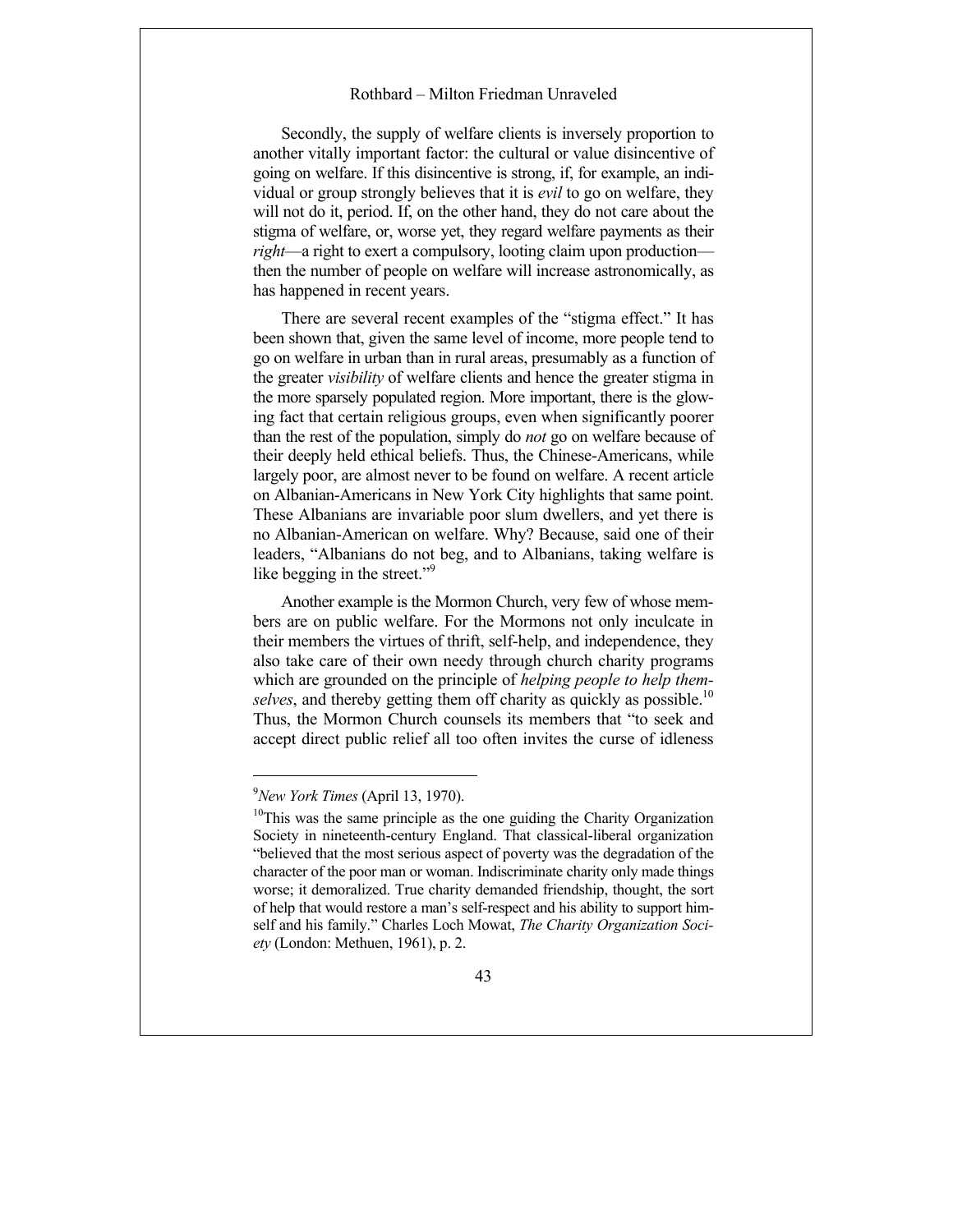Secondly, the supply of welfare clients is inversely proportion to another vitally important factor: the cultural or value disincentive of going on welfare. If this disincentive is strong, if, for example, an individual or group strongly believes that it is *evil* to go on welfare, they will not do it, period. If, on the other hand, they do not care about the stigma of welfare, or, worse yet, they regard welfare payments as their *right*—a right to exert a compulsory, looting claim upon production then the number of people on welfare will increase astronomically, as has happened in recent years.

 There are several recent examples of the "stigma effect." It has been shown that, given the same level of income, more people tend to go on welfare in urban than in rural areas, presumably as a function of the greater *visibility* of welfare clients and hence the greater stigma in the more sparsely populated region. More important, there is the glowing fact that certain religious groups, even when significantly poorer than the rest of the population, simply do *not* go on welfare because of their deeply held ethical beliefs. Thus, the Chinese-Americans, while largely poor, are almost never to be found on welfare. A recent article on Albanian-Americans in New York City highlights that same point. These Albanians are invariable poor slum dwellers, and yet there is no Albanian-American on welfare. Why? Because, said one of their leaders, "Albanians do not beg, and to Albanians, taking welfare is like begging in the street."<sup>9</sup>

 Another example is the Mormon Church, very few of whose members are on public welfare. For the Mormons not only inculcate in their members the virtues of thrift, self-help, and independence, they also take care of their own needy through church charity programs which are grounded on the principle of *helping people to help them*selves, and thereby getting them off charity as quickly as possible.<sup>10</sup> Thus, the Mormon Church counsels its members that "to seek and accept direct public relief all too often invites the curse of idleness

 $9$ New York Times (April 13, 1970).

<sup>&</sup>lt;sup>10</sup>This was the same principle as the one guiding the Charity Organization Society in nineteenth-century England. That classical-liberal organization "believed that the most serious aspect of poverty was the degradation of the character of the poor man or woman. Indiscriminate charity only made things worse; it demoralized. True charity demanded friendship, thought, the sort of help that would restore a man's self-respect and his ability to support himself and his family." Charles Loch Mowat, *The Charity Organization Society* (London: Methuen, 1961), p. 2.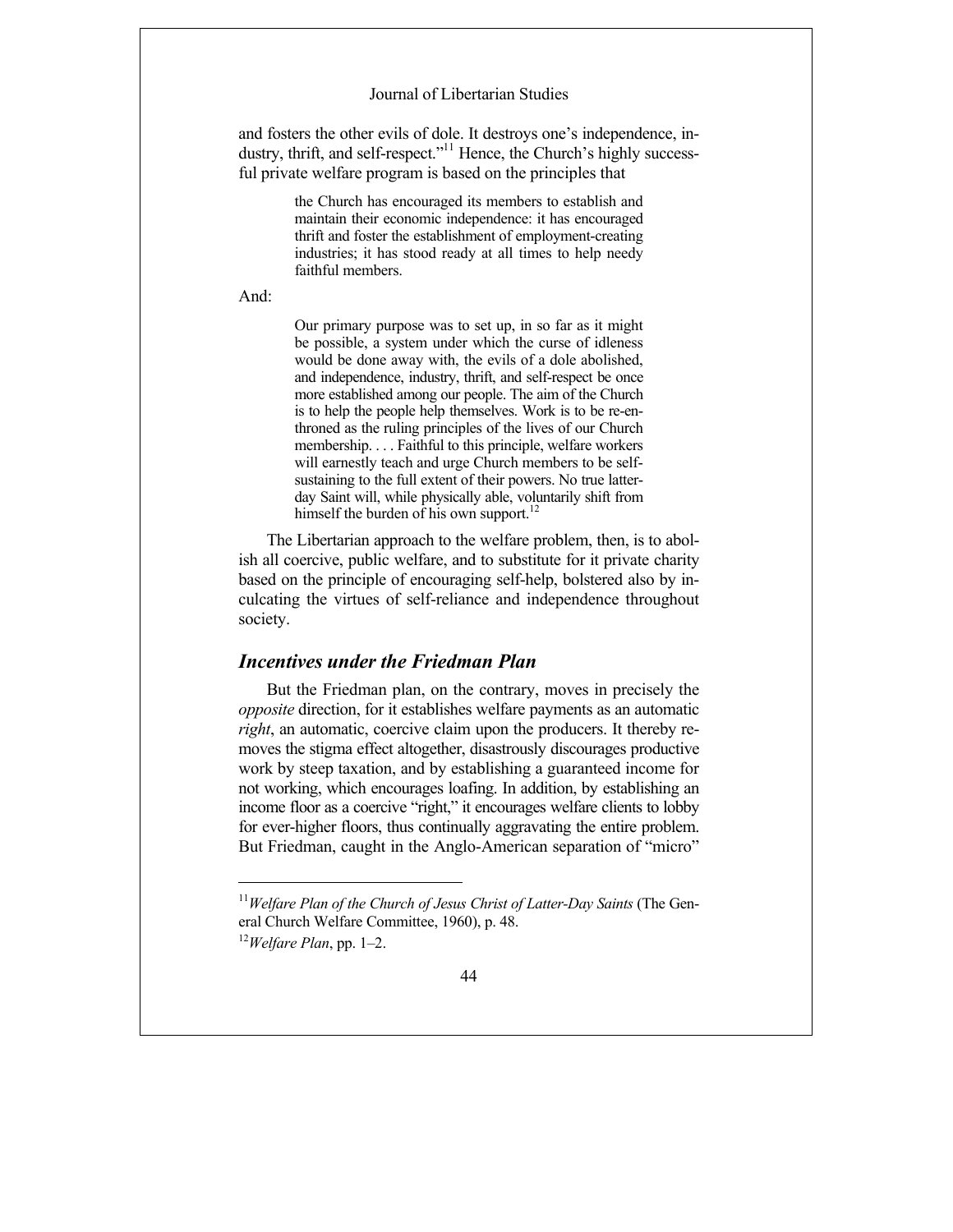and fosters the other evils of dole. It destroys one's independence, industry, thrift, and self-respect."<sup>11</sup> Hence, the Church's highly successful private welfare program is based on the principles that

> the Church has encouraged its members to establish and maintain their economic independence: it has encouraged thrift and foster the establishment of employment-creating industries; it has stood ready at all times to help needy faithful members.

#### And:

Our primary purpose was to set up, in so far as it might be possible, a system under which the curse of idleness would be done away with, the evils of a dole abolished, and independence, industry, thrift, and self-respect be once more established among our people. The aim of the Church is to help the people help themselves. Work is to be re-enthroned as the ruling principles of the lives of our Church membership. . . . Faithful to this principle, welfare workers will earnestly teach and urge Church members to be selfsustaining to the full extent of their powers. No true latterday Saint will, while physically able, voluntarily shift from himself the burden of his own support. $^{12}$ 

 The Libertarian approach to the welfare problem, then, is to abolish all coercive, public welfare, and to substitute for it private charity based on the principle of encouraging self-help, bolstered also by inculcating the virtues of self-reliance and independence throughout society.

# *Incentives under the Friedman Plan*

 But the Friedman plan, on the contrary, moves in precisely the *opposite* direction, for it establishes welfare payments as an automatic *right*, an automatic, coercive claim upon the producers. It thereby removes the stigma effect altogether, disastrously discourages productive work by steep taxation, and by establishing a guaranteed income for not working, which encourages loafing. In addition, by establishing an income floor as a coercive "right," it encourages welfare clients to lobby for ever-higher floors, thus continually aggravating the entire problem. But Friedman, caught in the Anglo-American separation of "micro"

<sup>11</sup>*Welfare Plan of the Church of Jesus Christ of Latter-Day Saints* (The General Church Welfare Committee, 1960), p. 48.

<sup>12</sup>*Welfare Plan*, pp. 1–2.

<sup>44</sup>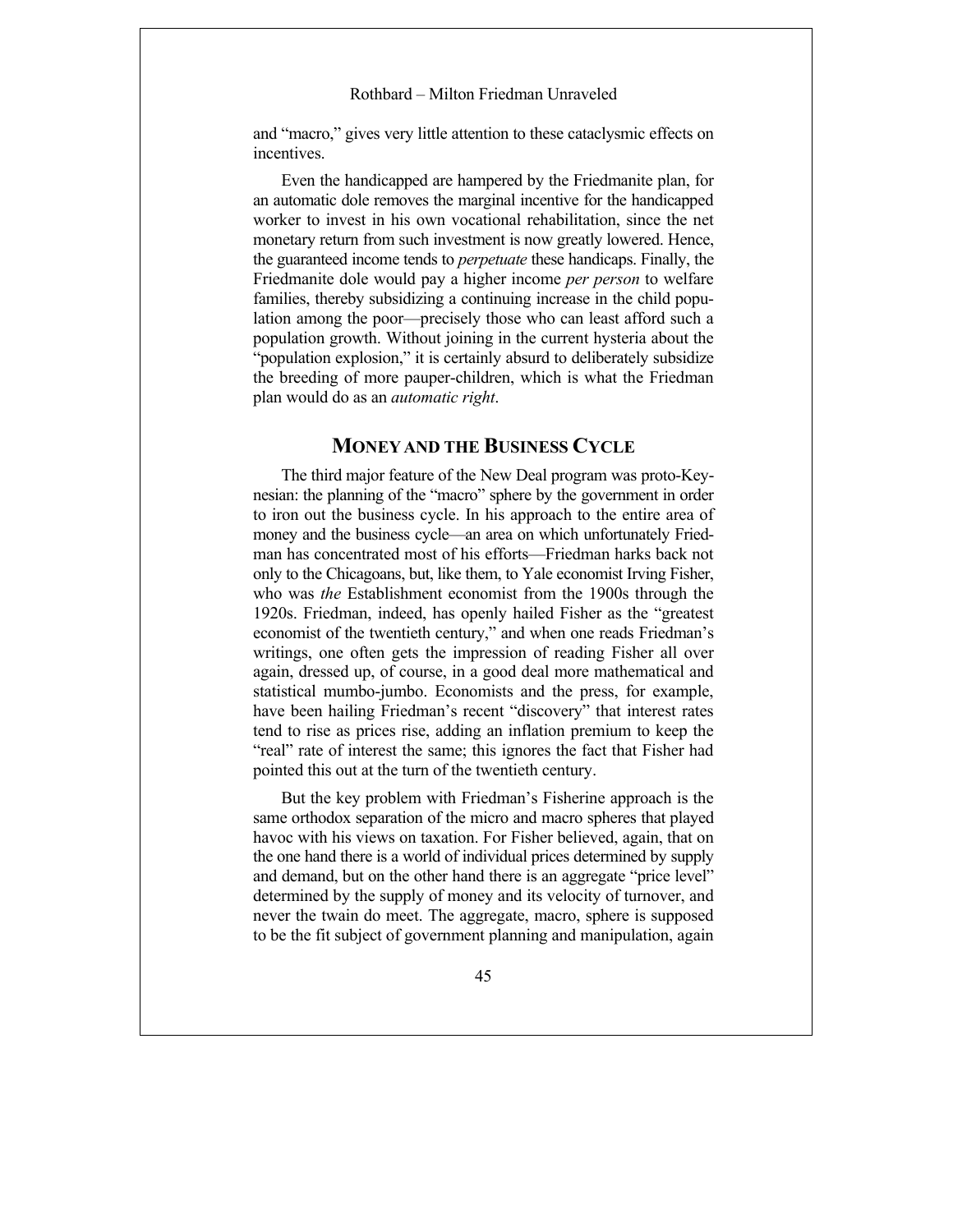and "macro," gives very little attention to these cataclysmic effects on incentives.

 Even the handicapped are hampered by the Friedmanite plan, for an automatic dole removes the marginal incentive for the handicapped worker to invest in his own vocational rehabilitation, since the net monetary return from such investment is now greatly lowered. Hence, the guaranteed income tends to *perpetuate* these handicaps. Finally, the Friedmanite dole would pay a higher income *per person* to welfare families, thereby subsidizing a continuing increase in the child population among the poor—precisely those who can least afford such a population growth. Without joining in the current hysteria about the "population explosion," it is certainly absurd to deliberately subsidize the breeding of more pauper-children, which is what the Friedman plan would do as an *automatic right*.

# **MONEY AND THE BUSINESS CYCLE**

 The third major feature of the New Deal program was proto-Keynesian: the planning of the "macro" sphere by the government in order to iron out the business cycle. In his approach to the entire area of money and the business cycle—an area on which unfortunately Friedman has concentrated most of his efforts—Friedman harks back not only to the Chicagoans, but, like them, to Yale economist Irving Fisher, who was *the* Establishment economist from the 1900s through the 1920s. Friedman, indeed, has openly hailed Fisher as the "greatest economist of the twentieth century," and when one reads Friedman's writings, one often gets the impression of reading Fisher all over again, dressed up, of course, in a good deal more mathematical and statistical mumbo-jumbo. Economists and the press, for example, have been hailing Friedman's recent "discovery" that interest rates tend to rise as prices rise, adding an inflation premium to keep the "real" rate of interest the same; this ignores the fact that Fisher had pointed this out at the turn of the twentieth century.

 But the key problem with Friedman's Fisherine approach is the same orthodox separation of the micro and macro spheres that played havoc with his views on taxation. For Fisher believed, again, that on the one hand there is a world of individual prices determined by supply and demand, but on the other hand there is an aggregate "price level" determined by the supply of money and its velocity of turnover, and never the twain do meet. The aggregate, macro, sphere is supposed to be the fit subject of government planning and manipulation, again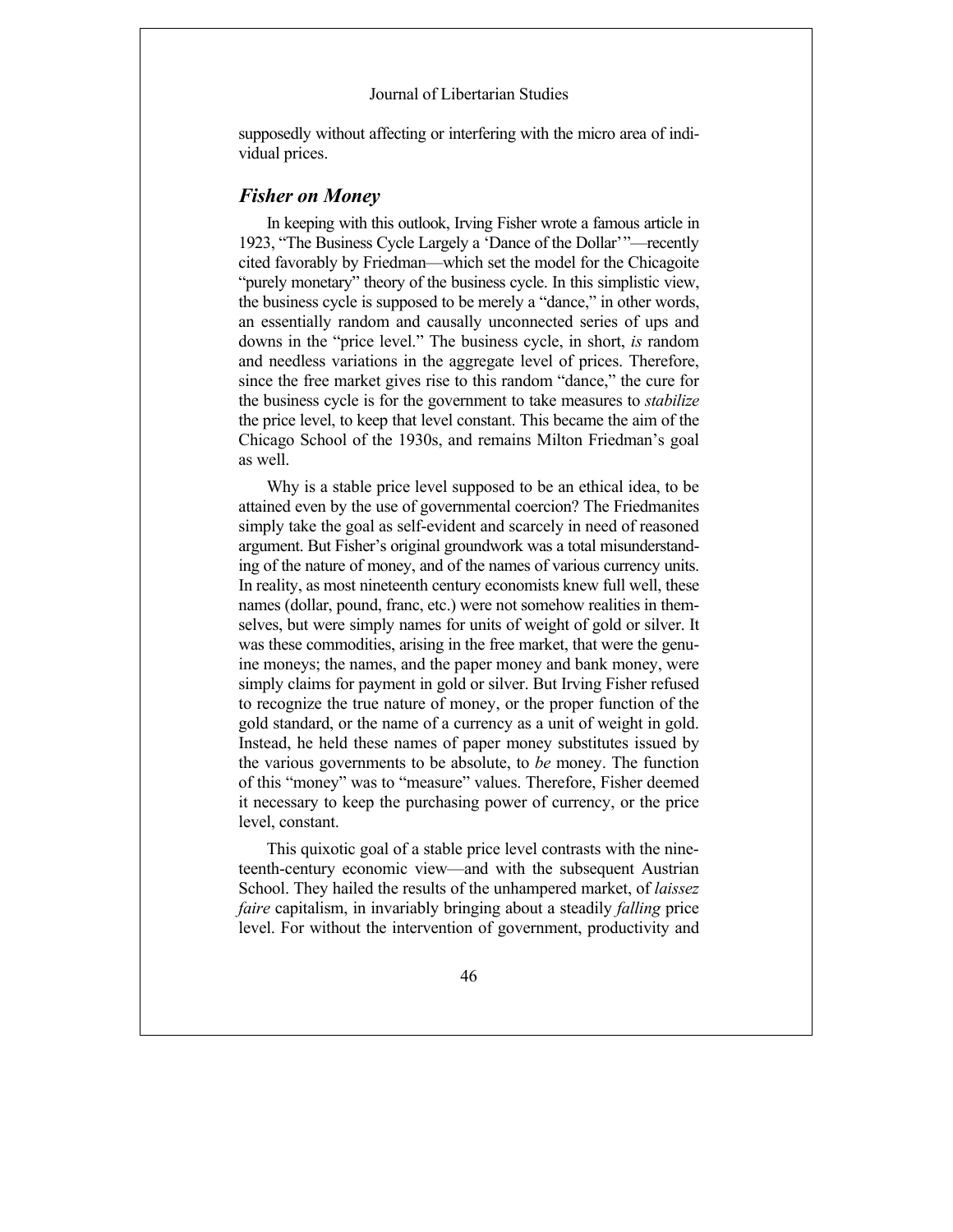supposedly without affecting or interfering with the micro area of individual prices.

# *Fisher on Money*

 In keeping with this outlook, Irving Fisher wrote a famous article in 1923, "The Business Cycle Largely a 'Dance of the Dollar'"—recently cited favorably by Friedman—which set the model for the Chicagoite "purely monetary" theory of the business cycle. In this simplistic view, the business cycle is supposed to be merely a "dance," in other words, an essentially random and causally unconnected series of ups and downs in the "price level." The business cycle, in short, *is* random and needless variations in the aggregate level of prices. Therefore, since the free market gives rise to this random "dance," the cure for the business cycle is for the government to take measures to *stabilize* the price level, to keep that level constant. This became the aim of the Chicago School of the 1930s, and remains Milton Friedman's goal as well.

 Why is a stable price level supposed to be an ethical idea, to be attained even by the use of governmental coercion? The Friedmanites simply take the goal as self-evident and scarcely in need of reasoned argument. But Fisher's original groundwork was a total misunderstanding of the nature of money, and of the names of various currency units. In reality, as most nineteenth century economists knew full well, these names (dollar, pound, franc, etc.) were not somehow realities in themselves, but were simply names for units of weight of gold or silver. It was these commodities, arising in the free market, that were the genuine moneys; the names, and the paper money and bank money, were simply claims for payment in gold or silver. But Irving Fisher refused to recognize the true nature of money, or the proper function of the gold standard, or the name of a currency as a unit of weight in gold. Instead, he held these names of paper money substitutes issued by the various governments to be absolute, to *be* money. The function of this "money" was to "measure" values. Therefore, Fisher deemed it necessary to keep the purchasing power of currency, or the price level, constant.

 This quixotic goal of a stable price level contrasts with the nineteenth-century economic view—and with the subsequent Austrian School. They hailed the results of the unhampered market, of *laissez faire* capitalism, in invariably bringing about a steadily *falling* price level. For without the intervention of government, productivity and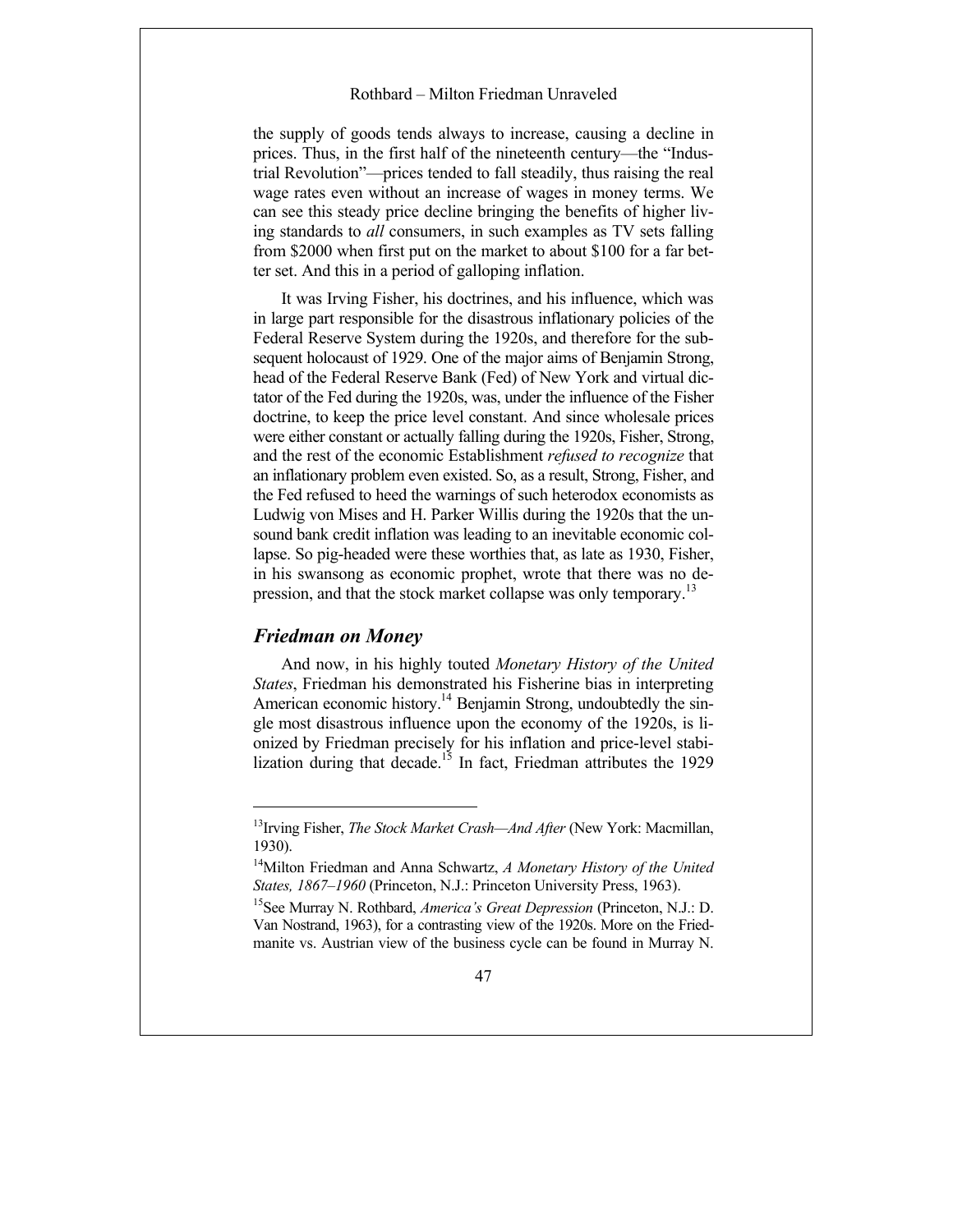the supply of goods tends always to increase, causing a decline in prices. Thus, in the first half of the nineteenth century—the "Industrial Revolution"—prices tended to fall steadily, thus raising the real wage rates even without an increase of wages in money terms. We can see this steady price decline bringing the benefits of higher living standards to *all* consumers, in such examples as TV sets falling from \$2000 when first put on the market to about \$100 for a far better set. And this in a period of galloping inflation.

 It was Irving Fisher, his doctrines, and his influence, which was in large part responsible for the disastrous inflationary policies of the Federal Reserve System during the 1920s, and therefore for the subsequent holocaust of 1929. One of the major aims of Benjamin Strong, head of the Federal Reserve Bank (Fed) of New York and virtual dictator of the Fed during the 1920s, was, under the influence of the Fisher doctrine, to keep the price level constant. And since wholesale prices were either constant or actually falling during the 1920s, Fisher, Strong, and the rest of the economic Establishment *refused to recognize* that an inflationary problem even existed. So, as a result, Strong, Fisher, and the Fed refused to heed the warnings of such heterodox economists as Ludwig von Mises and H. Parker Willis during the 1920s that the unsound bank credit inflation was leading to an inevitable economic collapse. So pig-headed were these worthies that, as late as 1930, Fisher, in his swansong as economic prophet, wrote that there was no depression, and that the stock market collapse was only temporary.<sup>13</sup>

# *Friedman on Money*

 And now, in his highly touted *Monetary History of the United States*, Friedman his demonstrated his Fisherine bias in interpreting American economic history.<sup>14</sup> Benjamin Strong, undoubtedly the single most disastrous influence upon the economy of the 1920s, is lionized by Friedman precisely for his inflation and price-level stabilization during that decade.<sup>15</sup> In fact, Friedman attributes the 1929

<sup>13</sup>Irving Fisher, *The Stock Market Crash—And After* (New York: Macmillan, 1930).

<sup>14</sup>Milton Friedman and Anna Schwartz, *A Monetary History of the United States, 1867–1960* (Princeton, N.J.: Princeton University Press, 1963).<br><sup>15</sup>See Murray N. Rothbard, *America's Great Depression* (Princeton, N.J.: D.

Van Nostrand, 1963), for a contrasting view of the 1920s. More on the Friedmanite vs. Austrian view of the business cycle can be found in Murray N.

<sup>47</sup>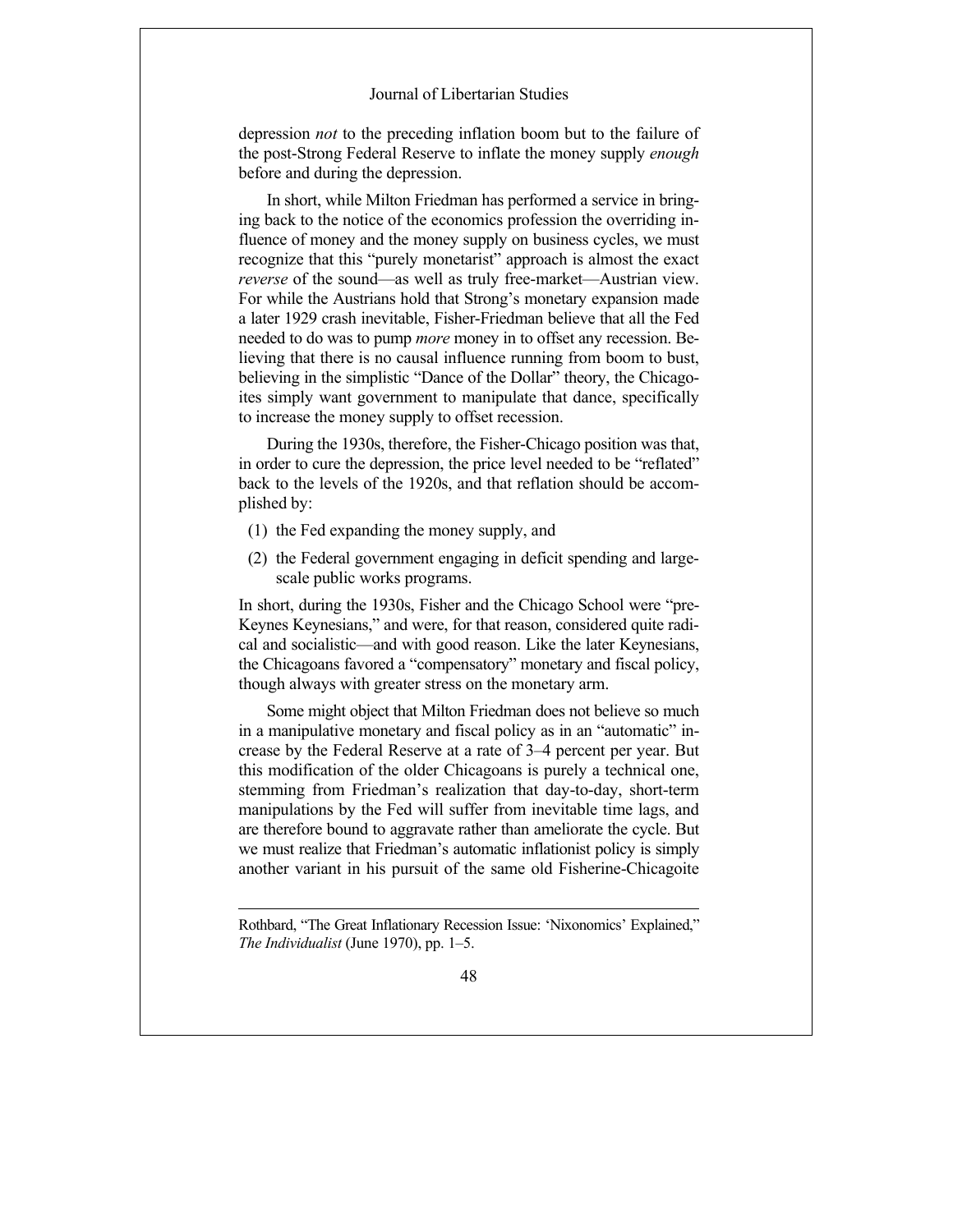depression *not* to the preceding inflation boom but to the failure of the post-Strong Federal Reserve to inflate the money supply *enough* before and during the depression.

 In short, while Milton Friedman has performed a service in bringing back to the notice of the economics profession the overriding influence of money and the money supply on business cycles, we must recognize that this "purely monetarist" approach is almost the exact *reverse* of the sound—as well as truly free-market—Austrian view. For while the Austrians hold that Strong's monetary expansion made a later 1929 crash inevitable, Fisher-Friedman believe that all the Fed needed to do was to pump *more* money in to offset any recession. Believing that there is no causal influence running from boom to bust, believing in the simplistic "Dance of the Dollar" theory, the Chicagoites simply want government to manipulate that dance, specifically to increase the money supply to offset recession.

 During the 1930s, therefore, the Fisher-Chicago position was that, in order to cure the depression, the price level needed to be "reflated" back to the levels of the 1920s, and that reflation should be accomplished by:

- (1) the Fed expanding the money supply, and
- (2) the Federal government engaging in deficit spending and largescale public works programs.

In short, during the 1930s, Fisher and the Chicago School were "pre-Keynes Keynesians," and were, for that reason, considered quite radical and socialistic—and with good reason. Like the later Keynesians, the Chicagoans favored a "compensatory" monetary and fiscal policy, though always with greater stress on the monetary arm.

 Some might object that Milton Friedman does not believe so much in a manipulative monetary and fiscal policy as in an "automatic" increase by the Federal Reserve at a rate of 3–4 percent per year. But this modification of the older Chicagoans is purely a technical one, stemming from Friedman's realization that day-to-day, short-term manipulations by the Fed will suffer from inevitable time lags, and are therefore bound to aggravate rather than ameliorate the cycle. But we must realize that Friedman's automatic inflationist policy is simply another variant in his pursuit of the same old Fisherine-Chicagoite

Rothbard, "The Great Inflationary Recession Issue: 'Nixonomics' Explained," *The Individualist* (June 1970), pp. 1–5.

1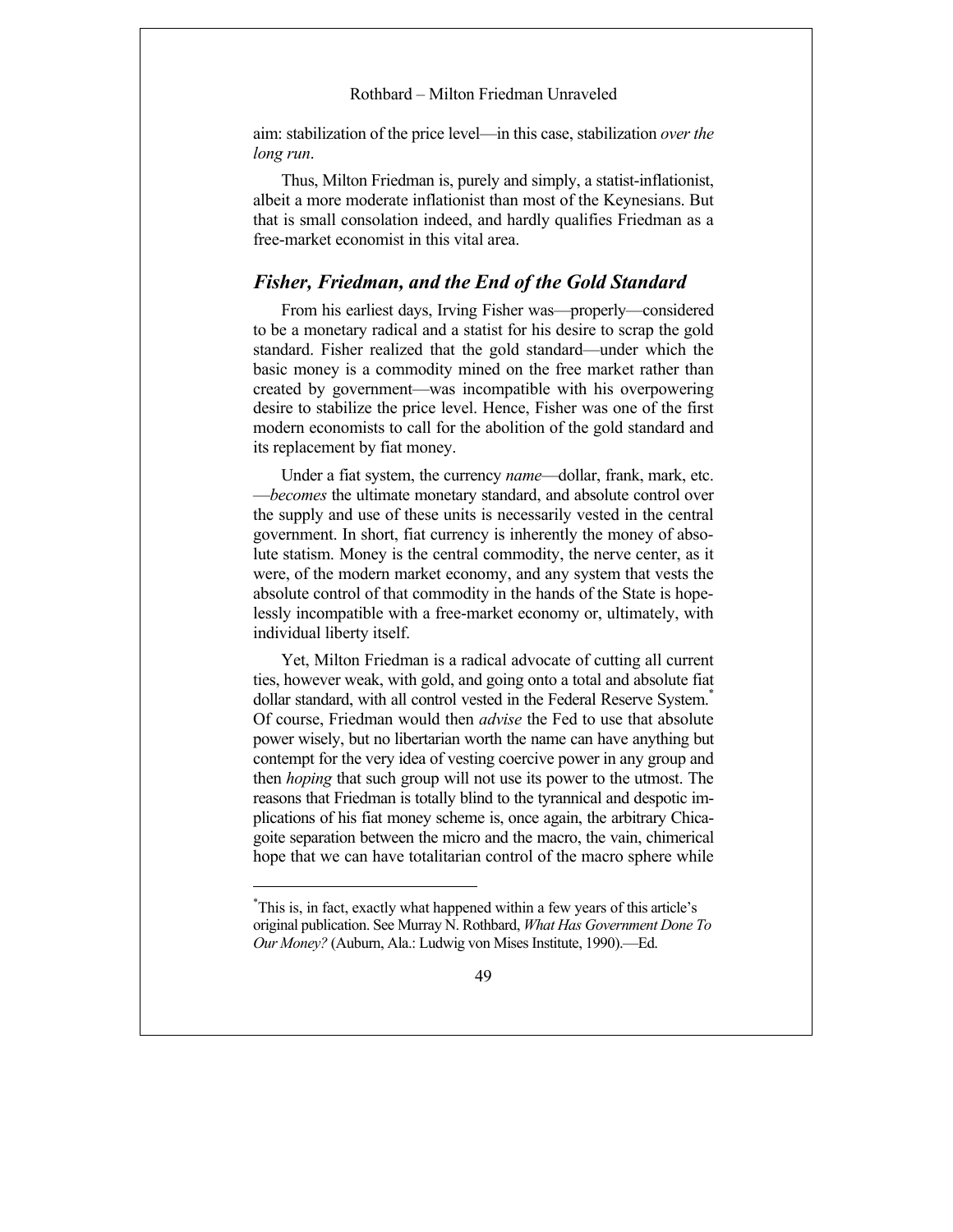aim: stabilization of the price level—in this case, stabilization *over the long run*.

 Thus, Milton Friedman is, purely and simply, a statist-inflationist, albeit a more moderate inflationist than most of the Keynesians. But that is small consolation indeed, and hardly qualifies Friedman as a free-market economist in this vital area.

#### *Fisher, Friedman, and the End of the Gold Standard*

 From his earliest days, Irving Fisher was—properly—considered to be a monetary radical and a statist for his desire to scrap the gold standard. Fisher realized that the gold standard—under which the basic money is a commodity mined on the free market rather than created by government—was incompatible with his overpowering desire to stabilize the price level. Hence, Fisher was one of the first modern economists to call for the abolition of the gold standard and its replacement by fiat money.

 Under a fiat system, the currency *name*—dollar, frank, mark, etc. —*becomes* the ultimate monetary standard, and absolute control over the supply and use of these units is necessarily vested in the central government. In short, fiat currency is inherently the money of absolute statism. Money is the central commodity, the nerve center, as it were, of the modern market economy, and any system that vests the absolute control of that commodity in the hands of the State is hopelessly incompatible with a free-market economy or, ultimately, with individual liberty itself.

 Yet, Milton Friedman is a radical advocate of cutting all current ties, however weak, with gold, and going onto a total and absolute fiat dollar standard, with all control vested in the Federal Reserve System.<sup>\*</sup> Of course, Friedman would then *advise* the Fed to use that absolute power wisely, but no libertarian worth the name can have anything but contempt for the very idea of vesting coercive power in any group and then *hoping* that such group will not use its power to the utmost. The reasons that Friedman is totally blind to the tyrannical and despotic implications of his fiat money scheme is, once again, the arbitrary Chicagoite separation between the micro and the macro, the vain, chimerical hope that we can have totalitarian control of the macro sphere while



<sup>\*</sup> This is, in fact, exactly what happened within a few years of this article's original publication. See Murray N. Rothbard, *What Has Government Done To Our Money?* (Auburn, Ala.: Ludwig von Mises Institute, 1990).—Ed.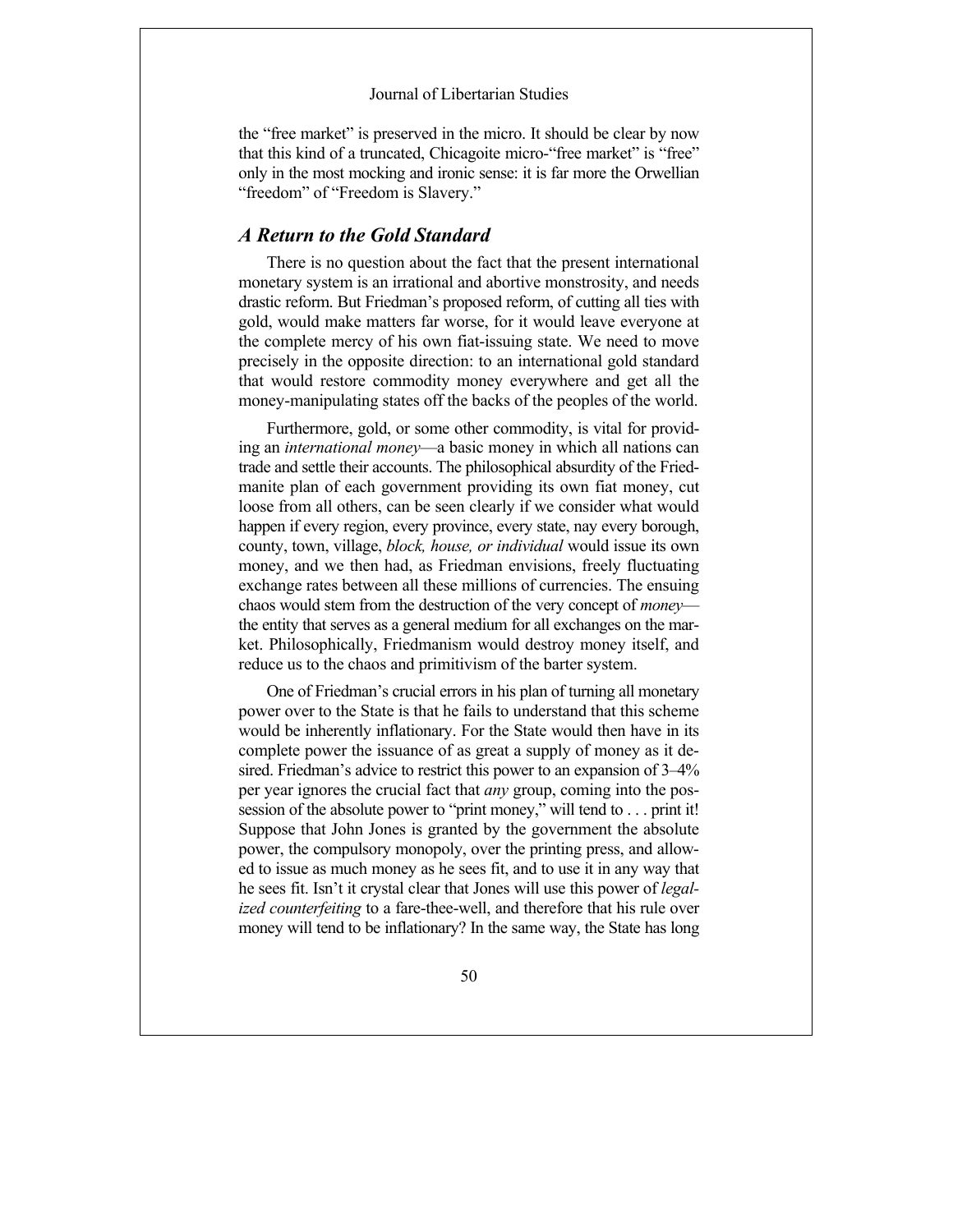the "free market" is preserved in the micro. It should be clear by now that this kind of a truncated, Chicagoite micro-"free market" is "free" only in the most mocking and ironic sense: it is far more the Orwellian "freedom" of "Freedom is Slavery."

### *A Return to the Gold Standard*

 There is no question about the fact that the present international monetary system is an irrational and abortive monstrosity, and needs drastic reform. But Friedman's proposed reform, of cutting all ties with gold, would make matters far worse, for it would leave everyone at the complete mercy of his own fiat-issuing state. We need to move precisely in the opposite direction: to an international gold standard that would restore commodity money everywhere and get all the money-manipulating states off the backs of the peoples of the world.

 Furthermore, gold, or some other commodity, is vital for providing an *international money*—a basic money in which all nations can trade and settle their accounts. The philosophical absurdity of the Friedmanite plan of each government providing its own fiat money, cut loose from all others, can be seen clearly if we consider what would happen if every region, every province, every state, nay every borough, county, town, village, *block, house, or individual* would issue its own money, and we then had, as Friedman envisions, freely fluctuating exchange rates between all these millions of currencies. The ensuing chaos would stem from the destruction of the very concept of *money* the entity that serves as a general medium for all exchanges on the market. Philosophically, Friedmanism would destroy money itself, and reduce us to the chaos and primitivism of the barter system.

 One of Friedman's crucial errors in his plan of turning all monetary power over to the State is that he fails to understand that this scheme would be inherently inflationary. For the State would then have in its complete power the issuance of as great a supply of money as it desired. Friedman's advice to restrict this power to an expansion of 3–4% per year ignores the crucial fact that *any* group, coming into the possession of the absolute power to "print money," will tend to . . . print it! Suppose that John Jones is granted by the government the absolute power, the compulsory monopoly, over the printing press, and allowed to issue as much money as he sees fit, and to use it in any way that he sees fit. Isn't it crystal clear that Jones will use this power of *legalized counterfeiting* to a fare-thee-well, and therefore that his rule over money will tend to be inflationary? In the same way, the State has long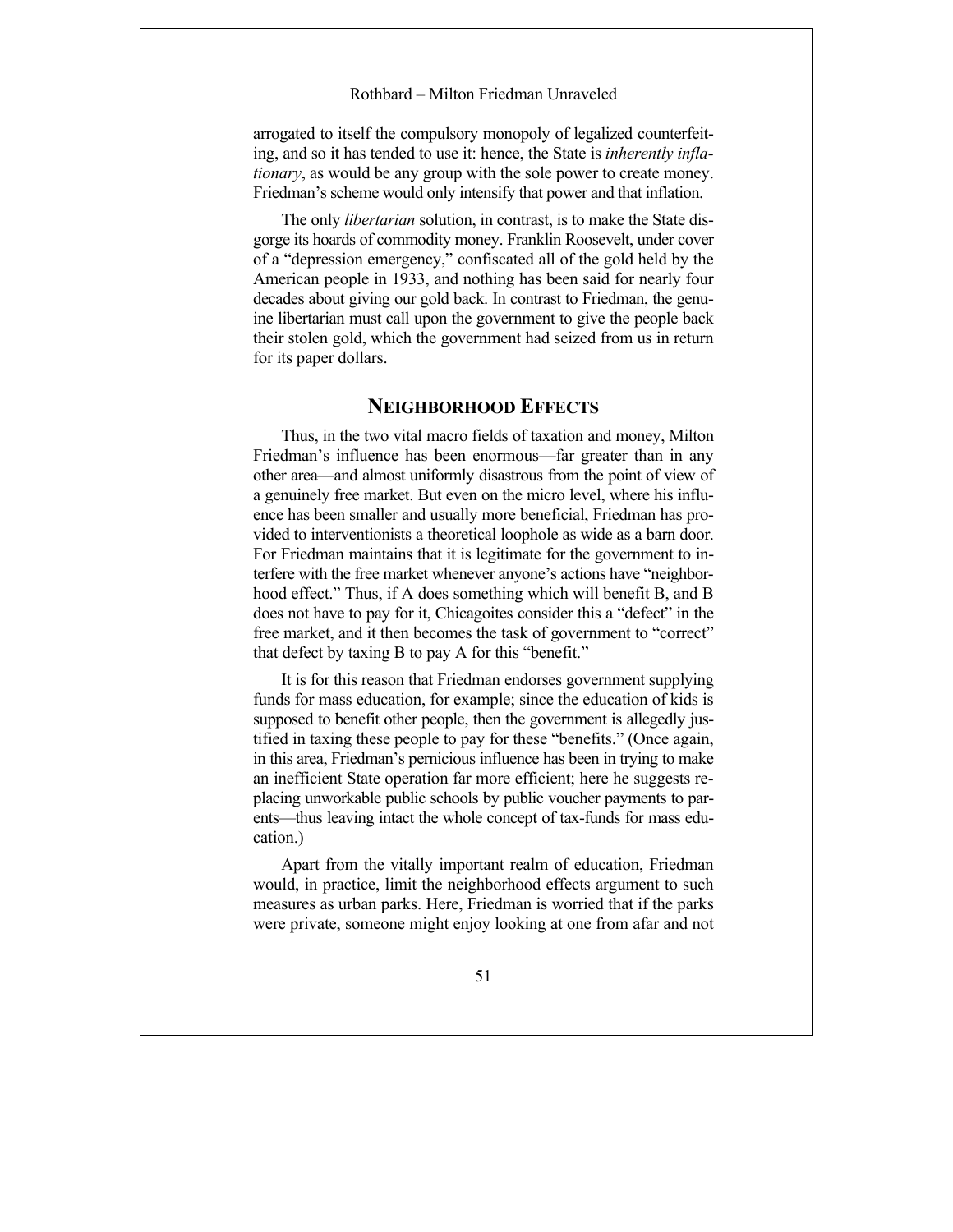arrogated to itself the compulsory monopoly of legalized counterfeiting, and so it has tended to use it: hence, the State is *inherently inflationary*, as would be any group with the sole power to create money. Friedman's scheme would only intensify that power and that inflation.

 The only *libertarian* solution, in contrast, is to make the State disgorge its hoards of commodity money. Franklin Roosevelt, under cover of a "depression emergency," confiscated all of the gold held by the American people in 1933, and nothing has been said for nearly four decades about giving our gold back. In contrast to Friedman, the genuine libertarian must call upon the government to give the people back their stolen gold, which the government had seized from us in return for its paper dollars.

# **NEIGHBORHOOD EFFECTS**

 Thus, in the two vital macro fields of taxation and money, Milton Friedman's influence has been enormous—far greater than in any other area—and almost uniformly disastrous from the point of view of a genuinely free market. But even on the micro level, where his influence has been smaller and usually more beneficial, Friedman has provided to interventionists a theoretical loophole as wide as a barn door. For Friedman maintains that it is legitimate for the government to interfere with the free market whenever anyone's actions have "neighborhood effect." Thus, if A does something which will benefit B, and B does not have to pay for it, Chicagoites consider this a "defect" in the free market, and it then becomes the task of government to "correct" that defect by taxing B to pay A for this "benefit."

 It is for this reason that Friedman endorses government supplying funds for mass education, for example; since the education of kids is supposed to benefit other people, then the government is allegedly justified in taxing these people to pay for these "benefits." (Once again, in this area, Friedman's pernicious influence has been in trying to make an inefficient State operation far more efficient; here he suggests replacing unworkable public schools by public voucher payments to parents—thus leaving intact the whole concept of tax-funds for mass education.)

 Apart from the vitally important realm of education, Friedman would, in practice, limit the neighborhood effects argument to such measures as urban parks. Here, Friedman is worried that if the parks were private, someone might enjoy looking at one from afar and not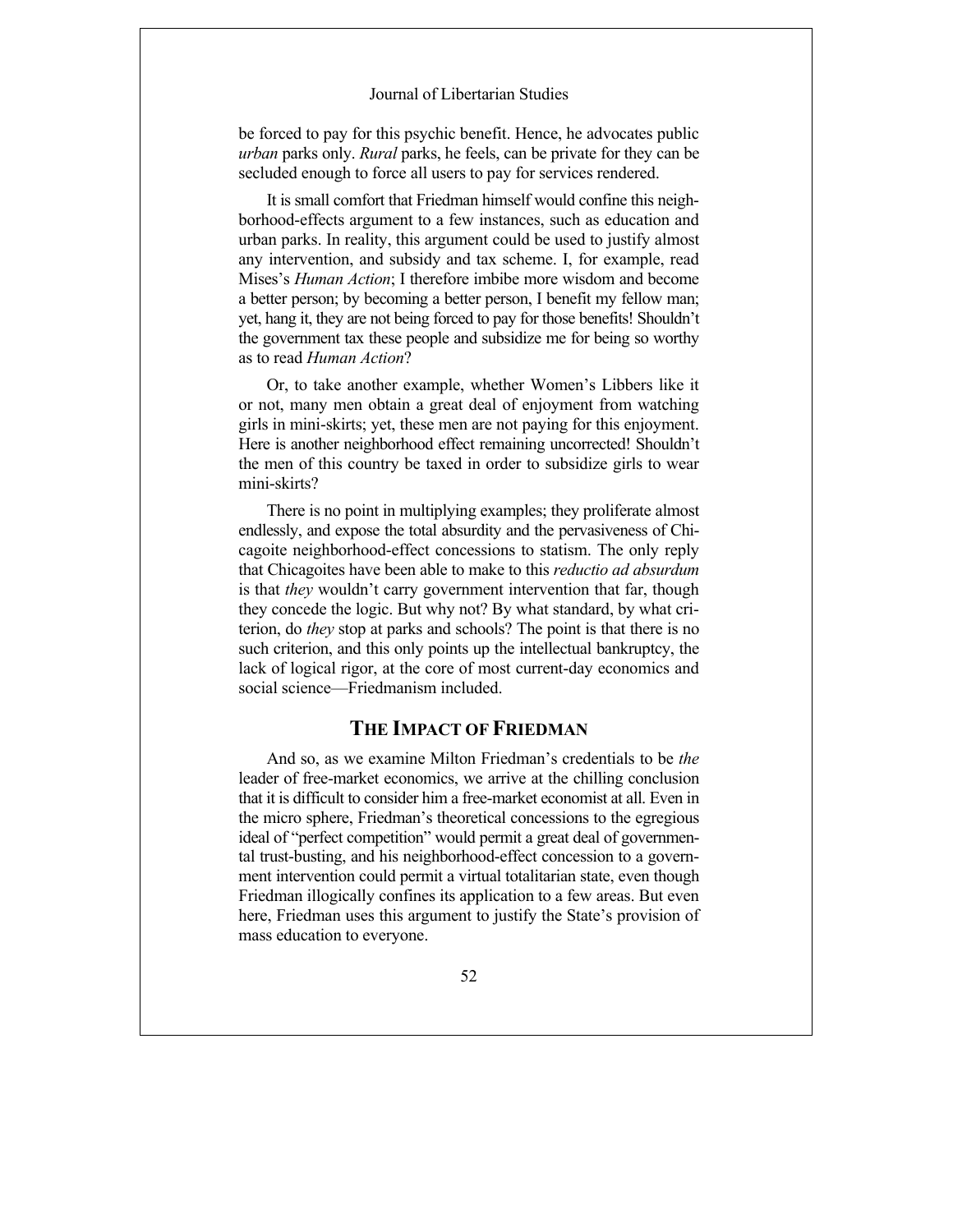be forced to pay for this psychic benefit. Hence, he advocates public *urban* parks only. *Rural* parks, he feels, can be private for they can be secluded enough to force all users to pay for services rendered.

 It is small comfort that Friedman himself would confine this neighborhood-effects argument to a few instances, such as education and urban parks. In reality, this argument could be used to justify almost any intervention, and subsidy and tax scheme. I, for example, read Mises's *Human Action*; I therefore imbibe more wisdom and become a better person; by becoming a better person, I benefit my fellow man; yet, hang it, they are not being forced to pay for those benefits! Shouldn't the government tax these people and subsidize me for being so worthy as to read *Human Action*?

 Or, to take another example, whether Women's Libbers like it or not, many men obtain a great deal of enjoyment from watching girls in mini-skirts; yet, these men are not paying for this enjoyment. Here is another neighborhood effect remaining uncorrected! Shouldn't the men of this country be taxed in order to subsidize girls to wear mini-skirts?

 There is no point in multiplying examples; they proliferate almost endlessly, and expose the total absurdity and the pervasiveness of Chicagoite neighborhood-effect concessions to statism. The only reply that Chicagoites have been able to make to this *reductio ad absurdum* is that *they* wouldn't carry government intervention that far, though they concede the logic. But why not? By what standard, by what criterion, do *they* stop at parks and schools? The point is that there is no such criterion, and this only points up the intellectual bankruptcy, the lack of logical rigor, at the core of most current-day economics and social science—Friedmanism included.

# **THE IMPACT OF FRIEDMAN**

 And so, as we examine Milton Friedman's credentials to be *the* leader of free-market economics, we arrive at the chilling conclusion that it is difficult to consider him a free-market economist at all. Even in the micro sphere, Friedman's theoretical concessions to the egregious ideal of "perfect competition" would permit a great deal of governmental trust-busting, and his neighborhood-effect concession to a government intervention could permit a virtual totalitarian state, even though Friedman illogically confines its application to a few areas. But even here, Friedman uses this argument to justify the State's provision of mass education to everyone.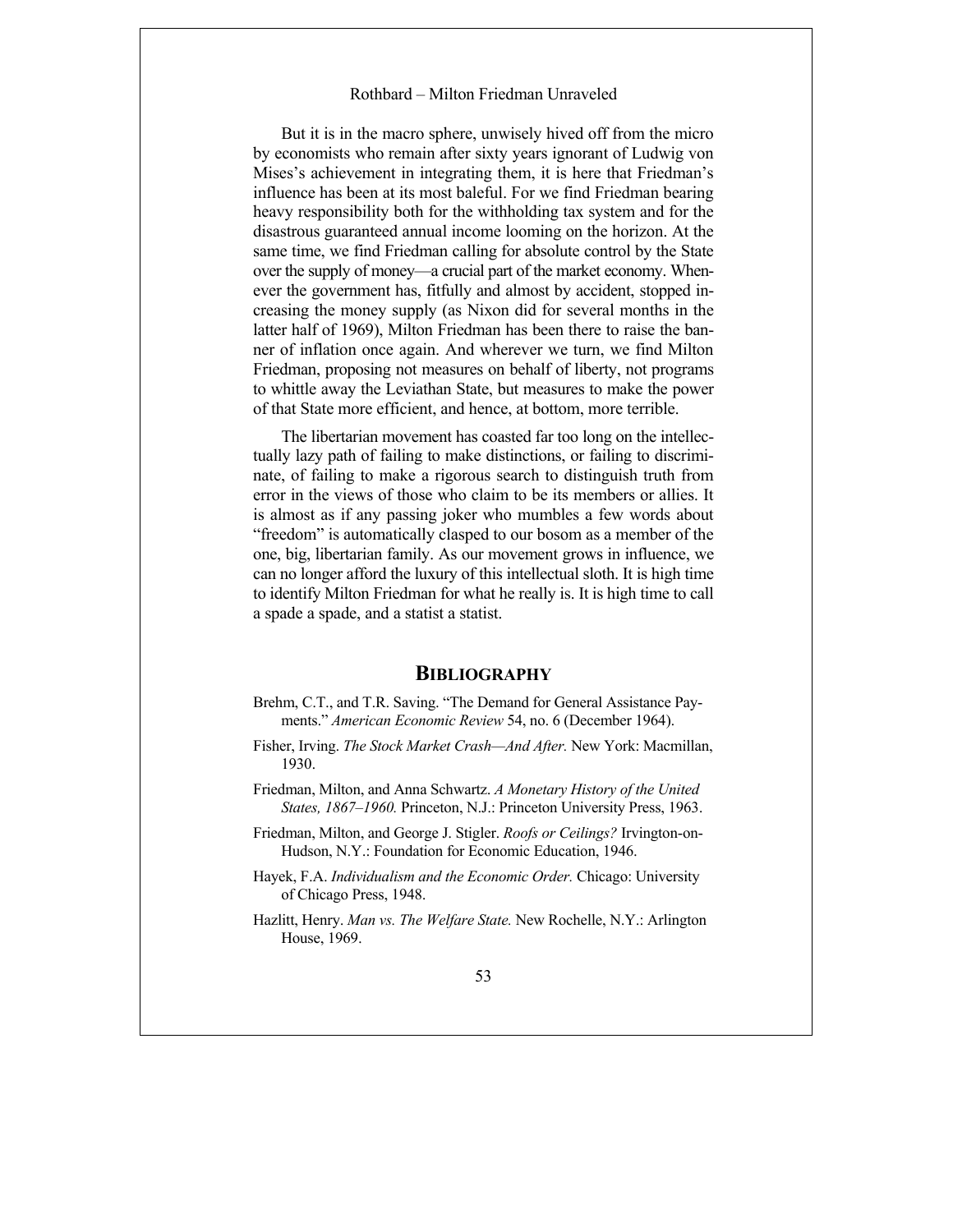But it is in the macro sphere, unwisely hived off from the micro by economists who remain after sixty years ignorant of Ludwig von Mises's achievement in integrating them, it is here that Friedman's influence has been at its most baleful. For we find Friedman bearing heavy responsibility both for the withholding tax system and for the disastrous guaranteed annual income looming on the horizon. At the same time, we find Friedman calling for absolute control by the State over the supply of money—a crucial part of the market economy. Whenever the government has, fitfully and almost by accident, stopped increasing the money supply (as Nixon did for several months in the latter half of 1969), Milton Friedman has been there to raise the banner of inflation once again. And wherever we turn, we find Milton Friedman, proposing not measures on behalf of liberty, not programs to whittle away the Leviathan State, but measures to make the power of that State more efficient, and hence, at bottom, more terrible.

 The libertarian movement has coasted far too long on the intellectually lazy path of failing to make distinctions, or failing to discriminate, of failing to make a rigorous search to distinguish truth from error in the views of those who claim to be its members or allies. It is almost as if any passing joker who mumbles a few words about "freedom" is automatically clasped to our bosom as a member of the one, big, libertarian family. As our movement grows in influence, we can no longer afford the luxury of this intellectual sloth. It is high time to identify Milton Friedman for what he really is. It is high time to call a spade a spade, and a statist a statist.

### **BIBLIOGRAPHY**

- Brehm, C.T., and T.R. Saving. "The Demand for General Assistance Payments." *American Economic Review* 54, no. 6 (December 1964).
- Fisher, Irving. *The Stock Market Crash—And After.* New York: Macmillan, 1930.
- Friedman, Milton, and Anna Schwartz. *A Monetary History of the United States, 1867–1960.* Princeton, N.J.: Princeton University Press, 1963.
- Friedman, Milton, and George J. Stigler. *Roofs or Ceilings?* Irvington-on-Hudson, N.Y.: Foundation for Economic Education, 1946.
- Hayek, F.A. *Individualism and the Economic Order.* Chicago: University of Chicago Press, 1948.
- Hazlitt, Henry. *Man vs. The Welfare State.* New Rochelle, N.Y.: Arlington House, 1969.